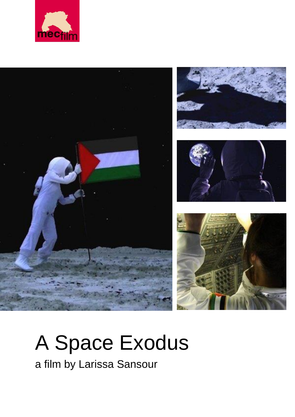









# A Space Exodus

a film by Larissa Sansour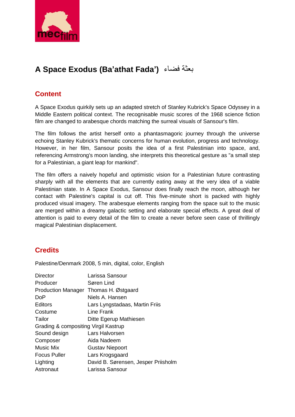

# **A Space Exodus (Ba'athat Fada')** فضاء بعثة

### **Content**

A Space Exodus quirkily sets up an adapted stretch of Stanley Kubrick's Space Odyssey in a Middle Eastern political context. The recognisable music scores of the 1968 science fiction film are changed to arabesque chords matching the surreal visuals of Sansour's film.

The film follows the artist herself onto a phantasmagoric journey through the universe echoing Stanley Kubrick's thematic concerns for human evolution, progress and technology. However, in her film, Sansour posits the idea of a first Palestinian into space, and, referencing Armstrong's moon landing, she interprets this theoretical gesture as "a small step for a Palestinian, a giant leap for mankind".

The film offers a naively hopeful and optimistic vision for a Palestinian future contrasting sharply with all the elements that are currently eating away at the very idea of a viable Palestinian state. In A Space Exodus, Sansour does finally reach the moon, although her contact with Palestine's capital is cut off. This five-minute short is packed with highly produced visual imagery. The arabesque elements ranging from the space suit to the music are merged within a dreamy galactic setting and elaborate special effects. A great deal of attention is paid to every detail of the film to create a never before seen case of thrillingly magical Palestinian displacement.

## **Credits**

Palestine/Denmark 2008, 5 min, digital, color, English

| <b>Director</b>                      | Larissa Sansour                       |
|--------------------------------------|---------------------------------------|
| Producer                             | Søren Lind                            |
|                                      | Production Manager Thomas H. Østgaard |
| <b>DoP</b>                           | Niels A. Hansen                       |
| <b>Editors</b>                       | Lars Lyngstadaas, Martin Friis        |
| Costume                              | Line Frank                            |
| Tailor                               | Ditte Egerup Mathiesen                |
| Grading & compositing Virgil Kastrup |                                       |
| Sound design                         | Lars Halvorsen                        |
| Composer                             | Aida Nadeem                           |
| <b>Music Mix</b>                     | <b>Gustav Niepoort</b>                |
| <b>Focus Puller</b>                  | Lars Krogsgaard                       |
| Lighting                             | David B. Sørensen, Jesper Priisholm   |
| Astronaut                            | Larissa Sansour                       |
|                                      |                                       |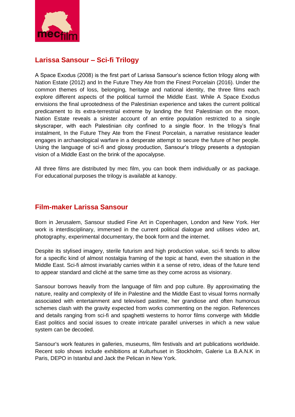

#### **Larissa Sansour – Sci-fi Trilogy**

A Space Exodus (2008) is the first part of Larissa Sansour's science fiction trilogy along with Nation Estate (2012) and In the Future They Ate from the Finest Porcelain (2016). Under the common themes of loss, belonging, heritage and national identity, the three films each explore different aspects of the political turmoil the Middle East. While A Space Exodus envisions the final uprootedness of the Palestinian experience and takes the current political predicament to its extra-terrestrial extreme by landing the first Palestinian on the moon, Nation Estate reveals a sinister account of an entire population restricted to a single skyscraper, with each Palestinian city confined to a single floor. In the trilogy's final instalment, In the Future They Ate from the Finest Porcelain, a narrative resistance leader engages in archaeological warfare in a desperate attempt to secure the future of her people. Using the language of sci-fi and glossy production, Sansour's trilogy presents a dystopian vision of a Middle East on the brink of the apocalypse.

All three films are distributed by mec film, you can book them individually or as package. For educational purposes the trilogy is available at kanopy.

#### **Film-maker Larissa Sansour**

Born in Jerusalem, Sansour studied Fine Art in Copenhagen, London and New York. Her work is interdisciplinary, immersed in the current political dialogue and utilises video art, photography, experimental documentary, the book form and the internet.

Despite its stylised imagery, sterile futurism and high production value, sci-fi tends to allow for a specific kind of almost nostalgia framing of the topic at hand, even the situation in the Middle East. Sci-fi almost invariably carries within it a sense of retro, ideas of the future tend to appear standard and cliché at the same time as they come across as visionary.

Sansour borrows heavily from the language of film and pop culture. By approximating the nature, reality and complexity of life in Palestine and the Middle East to visual forms normally associated with entertainment and televised pastime, her grandiose and often humorous schemes clash with the gravity expected from works commenting on the region. References and details ranging from sci-fi and spaghetti westerns to horror films converge with Middle East politics and social issues to create intricate parallel universes in which a new value system can be decoded.

Sansour's work features in galleries, museums, film festivals and art publications worldwide. Recent solo shows include exhibitions at Kulturhuset in Stockholm, Galerie La B.A.N.K in Paris, DEPO in Istanbul and Jack the Pelican in New York.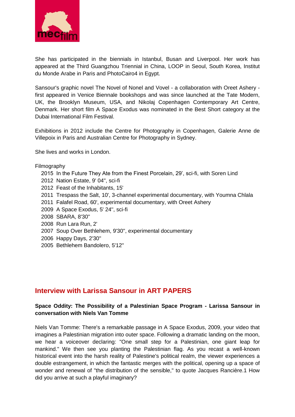

She has participated in the biennials in Istanbul, Busan and Liverpool. Her work has appeared at the Third Guangzhou Triennial in China, LOOP in Seoul, South Korea, Institut du Monde Arabe in Paris and PhotoCairo4 in Egypt.

Sansour's graphic novel The Novel of Nonel and Vovel - a collaboration with Oreet Ashery first appeared in Venice Biennale bookshops and was since launched at the Tate Modern, UK, the Brooklyn Museum, USA, and Nikolaj Copenhagen Contemporary Art Centre, Denmark. Her short film A Space Exodus was nominated in the Best Short category at the Dubai International Film Festival.

Exhibitions in 2012 include the Centre for Photography in Copenhagen, Galerie Anne de Villepoix in Paris and Australian Centre for Photography in Sydney.

She lives and works in London.

#### Filmography

- 2015 In the Future They Ate from the Finest Porcelain, 29', sci-fi, with Soren Lind
- 2012 Nation Estate, 9' 04'', sci-fi
- 2012 Feast of the Inhabitants, 15'
- 2011 Trespass the Salt, 10', 3-channel experimental documentary, with Youmna Chlala
- 2011 Falafel Road, 60', experimental documentary, with Oreet Ashery
- 2009 A Space Exodus, 5' 24'', sci-fi
- 2008 SBARA, 8'30''
- 2008 Run Lara Run, 2'
- 2007 Soup Over Bethlehem, 9'30'', experimental documentary
- 2006 Happy Days, 2'30''
- 2005 Bethlehem Bandolero, 5'12''

#### **Interview with Larissa Sansour in ART PAPERS**

#### **Space Oddity: The Possibility of a Palestinian Space Program - Larissa Sansour in conversation with Niels Van Tomme**

Niels Van Tomme: There's a remarkable passage in A Space Exodus, 2009, your video that imagines a Palestinian migration into outer space. Following a dramatic landing on the moon, we hear a voiceover declaring: "One small step for a Palestinian, one giant leap for mankind." We then see you planting the Palestinian flag. As you recast a well-known historical event into the harsh reality of Palestine's political realm, the viewer experiences a double estrangement, in which the fantastic merges with the political, opening up a space of wonder and renewal of "the distribution of the sensible," to quote Jacques Rancière.1 How did you arrive at such a playful imaginary?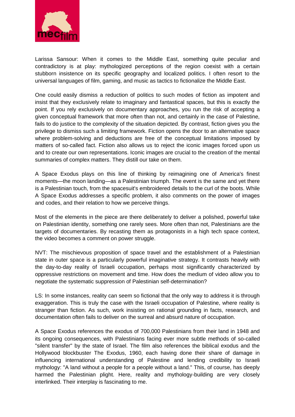

Larissa Sansour: When it comes to the Middle East, something quite peculiar and contradictory is at play: mythologized perceptions of the region coexist with a certain stubborn insistence on its specific geography and localized politics. I often resort to the universal languages of film, gaming, and music as tactics to fictionalize the Middle East.

One could easily dismiss a reduction of politics to such modes of fiction as impotent and insist that they exclusively relate to imaginary and fantastical spaces, but this is exactly the point. If you rely exclusively on documentary approaches, you run the risk of accepting a given conceptual framework that more often than not, and certainly in the case of Palestine, fails to do justice to the complexity of the situation depicted. By contrast, fiction gives you the privilege to dismiss such a limiting framework. Fiction opens the door to an alternative space where problem-solving and deductions are free of the conceptual limitations imposed by matters of so-called fact. Fiction also allows us to reject the iconic images forced upon us and to create our own representations. Iconic images are crucial to the creation of the mental summaries of complex matters. They distill our take on them.

A Space Exodus plays on this line of thinking by reimagining one of America's finest moments—the moon landing—as a Palestinian triumph. The event is the same and yet there is a Palestinian touch, from the spacesuit's embroidered details to the curl of the boots. While A Space Exodus addresses a specific problem, it also comments on the power of images and codes, and their relation to how we perceive things.

Most of the elements in the piece are there deliberately to deliver a polished, powerful take on Palestinian identity, something one rarely sees. More often than not, Palestinians are the targets of documentaries. By recasting them as protagonists in a high tech space context, the video becomes a comment on power struggle.

NVT: The mischievous proposition of space travel and the establishment of a Palestinian state in outer space is a particularly powerful imaginative strategy. It contrasts heavily with the day-to-day reality of Israeli occupation, perhaps most significantly characterized by oppressive restrictions on movement and time. How does the medium of video allow you to negotiate the systematic suppression of Palestinian self-determination?

LS: In some instances, reality can seem so fictional that the only way to address it is through exaggeration. This is truly the case with the Israeli occupation of Palestine, where reality is stranger than fiction. As such, work insisting on rational grounding in facts, research, and documentation often fails to deliver on the surreal and absurd nature of occupation.

A Space Exodus references the exodus of 700,000 Palestinians from their land in 1948 and its ongoing consequences, with Palestinians facing ever more subtle methods of so-called "silent transfer" by the state of Israel. The film also references the biblical exodus and the Hollywood blockbuster The Exodus, 1960, each having done their share of damage in influencing international understanding of Palestine and lending credibility to Israeli mythology: "A land without a people for a people without a land." This, of course, has deeply harmed the Palestinian plight. Here, reality and mythology-building are very closely interlinked. Their interplay is fascinating to me.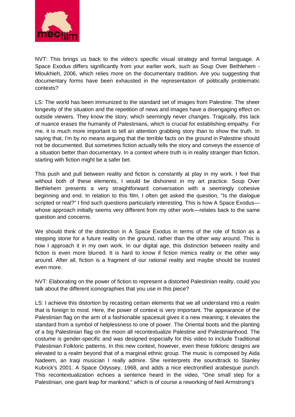

NVT: This brings us back to the video's specific visual strategy and formal language. A Space Exodus differs significantly from your earlier work, such as Soup Over Bethlehem - Mloukhieh, 2006, which relies more on the documentary tradition. Are you suggesting that documentary forms have been exhausted in the representation of politically problematic contexts?

LS: The world has been immunized to the standard set of images from Palestine. The sheer longevity of the situation and the repetition of news and images have a disengaging effect on outside viewers. They know the story, which seemingly never changes. Tragically, this lack of nuance erases the humanity of Palestinians, which is crucial for establishing empathy. For me, it is much more important to tell an attention grabbing story than to show the truth. In saying that, I'm by no means arguing that the terrible facts on the ground in Palestine should not be documented. But sometimes fiction actually tells the story and conveys the essence of a situation better than documentary. In a context where truth is in reality stranger than fiction, starting with fiction might be a safer bet.

This push and pull between reality and fiction is constantly at play in my work. I feel that without both of these elements, I would be dishonest in my art practice. Soup Over Bethlehem presents a very straightforward conversation with a seemingly cohesive beginning and end. In relation to this film, I often get asked the question, "Is the dialogue scripted or real?" I find such questions particularly interesting. This is how A Space Exodus whose approach initially seems very different from my other work—relates back to the same question and concerns.

We should think of the distinction in A Space Exodus in terms of the role of fiction as a stepping stone for a future reality on the ground, rather than the other way around. This is how I approach it in my own work. In our digital age, this distinction between reality and fiction is even more blurred. It is hard to know if fiction mimics reality or the other way around. After all, fiction is a fragment of our rational reality and maybe should be trusted even more.

NVT: Elaborating on the power of fiction to represent a distorted Palestinian reality, could you talk about the different iconographies that you use in this piece?

LS: I achieve this distortion by recasting certain elements that we all understand into a realm that is foreign to most. Here, the power of context is very important. The appearance of the Palestinian flag on the arm of a fashionable spacesuit gives it a new meaning; it elevates the standard from a symbol of helplessness to one of power. The Oriental boots and the planting of a big Palestinian flag on the moon all recontextualize Palestine and Palestinianhood. The costume is gender-specific and was designed especially for this video to include Traditional Palestinian Folkloric patterns. In this new context, however, even these folkloric designs are elevated to a realm beyond that of a marginal ethnic group. The music is composed by Aida Nadeem, an Iraqi musician I really admire. She reinterprets the soundtrack to Stanley Kubrick's 2001: A Space Odyssey, 1968, and adds a nice electronified arabesque punch. This recontextualization echoes a sentence heard in the video, "One small step for a Palestinian, one giant leap for mankind," which is of course a reworking of Neil Armstrong's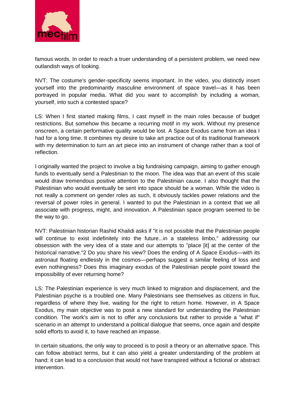

famous words. In order to reach a truer understanding of a persistent problem, we need new outlandish ways of looking.

NVT: The costume's gender-specificity seems important. In the video, you distinctly insert yourself into the predominantly masculine environment of space travel—as it has been portrayed in popular media. What did you want to accomplish by including a woman, yourself, into such a contested space?

LS: When I first started making films, I cast myself in the main roles because of budget restrictions. But somehow this became a recurring motif in my work. Without my presence onscreen, a certain performative quality would be lost. A Space Exodus came from an idea I had for a long time. It combines my desire to take art practice out of its traditional framework with my determination to turn an art piece into an instrument of change rather than a tool of reflection.

I originally wanted the project to involve a big fundraising campaign, aiming to gather enough funds to eventually send a Palestinian to the moon. The idea was that an event of this scale would draw tremendous positive attention to the Palestinian cause. I also thought that the Palestinian who would eventually be sent into space should be a woman. While the video is not really a comment on gender roles as such, it obviously tackles power relations and the reversal of power roles in general. I wanted to put the Palestinian in a context that we all associate with progress, might, and innovation. A Palestinian space program seemed to be the way to go.

NVT: Palestinian historian Rashid Khalidi asks if "it is not possible that the Palestinian people will continue to exist indefinitely into the future...in a stateless limbo," addressing our obsession with the very idea of a state and our attempts to "place [it] at the center of the historical narrative."2 Do you share his view? Does the ending of A Space Exodus—with its astronaut floating endlessly in the cosmos—perhaps suggest a similar feeling of loss and even nothingness? Does this imaginary exodus of the Palestinian people point toward the impossibility of ever returning home?

LS: The Palestinian experience is very much linked to migration and displacement, and the Palestinian psyche is a troubled one. Many Palestinians see themselves as citizens in flux, regardless of where they live, waiting for the right to return home. However, in A Space Exodus, my main objective was to posit a new standard for understanding the Palestinian condition. The work's aim is not to offer any conclusions but rather to provide a "what if" scenario in an attempt to understand a political dialogue that seems, once again and despite solid efforts to avoid it, to have reached an impasse.

In certain situations, the only way to proceed is to posit a theory or an alternative space. This can follow abstract terms, but it can also yield a greater understanding of the problem at hand; it can lead to a conclusion that would not have transpired without a fictional or abstract intervention.